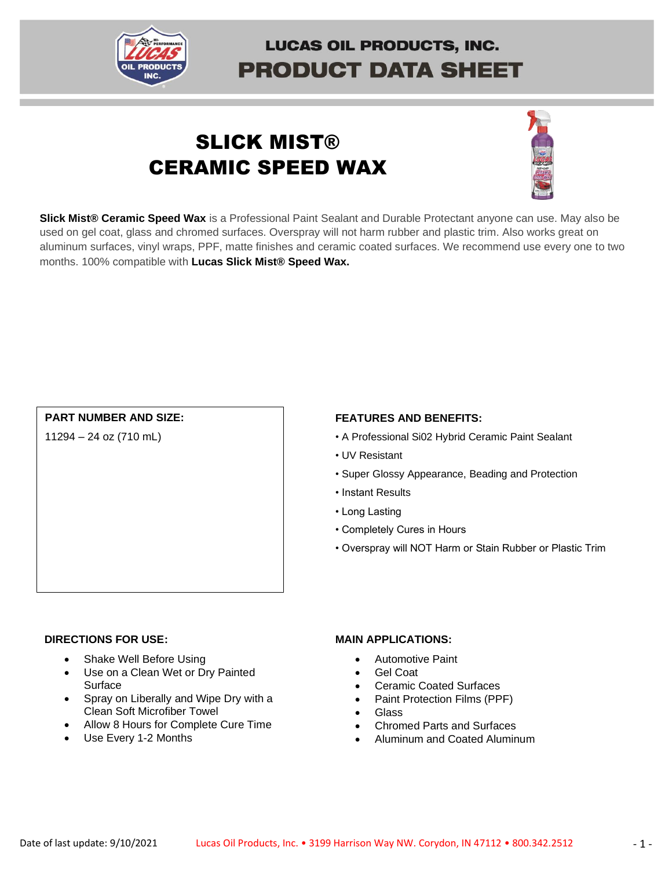

# **LUCAS OIL PRODUCTS, INC. PRODUCT DATA SHEET**

# **SLICK MIST®** CERAMIC SPEED WAX



**Slick Mist® Ceramic Speed Wax** is a Professional Paint Sealant and Durable Protectant anyone can use. May also be used on gel coat, glass and chromed surfaces. Overspray will not harm rubber and plastic trim. Also works great on aluminum surfaces, vinyl wraps, PPF, matte finishes and ceramic coated surfaces. We recommend use every one to two months. 100% compatible with **Lucas Slick Mist® Speed Wax.**

### **PART NUMBER AND SIZE:**

11294 – 24 oz (710 mL)

#### **FEATURES AND BENEFITS:**

- A Professional Si02 Hybrid Ceramic Paint Sealant
- UV Resistant
- Super Glossy Appearance, Beading and Protection
- Instant Results
- Long Lasting
- Completely Cures in Hours
- Overspray will NOT Harm or Stain Rubber or Plastic Trim

#### **DIRECTIONS FOR USE:**

- Shake Well Before Using
- Use on a Clean Wet or Dry Painted Surface
- Spray on Liberally and Wipe Dry with a Clean Soft Microfiber Towel
- Allow 8 Hours for Complete Cure Time
- Use Every 1-2 Months

#### **MAIN APPLICATIONS:**

- Automotive Paint
- Gel Coat
- Ceramic Coated Surfaces
- Paint Protection Films (PPF)
- Glass
- Chromed Parts and Surfaces
- Aluminum and Coated Aluminum